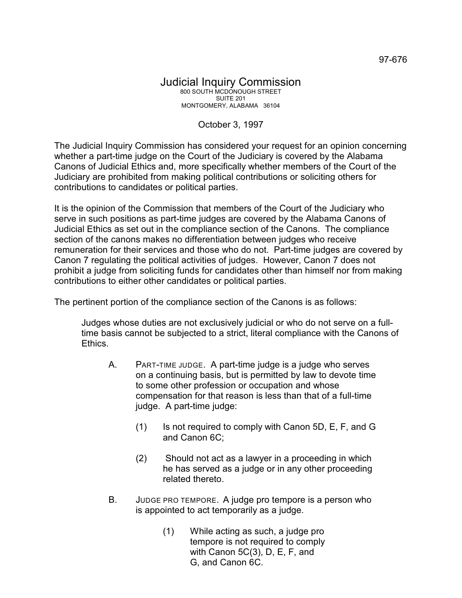## Judicial Inquiry Commission 800 SOUTH MCDONOUGH STREET SUITE 201 MONTGOMERY, ALABAMA 36104

## October 3, 1997

The Judicial Inquiry Commission has considered your request for an opinion concerning whether a part-time judge on the Court of the Judiciary is covered by the Alabama Canons of Judicial Ethics and, more specifically whether members of the Court of the Judiciary are prohibited from making political contributions or soliciting others for contributions to candidates or political parties.

It is the opinion of the Commission that members of the Court of the Judiciary who serve in such positions as part-time judges are covered by the Alabama Canons of Judicial Ethics as set out in the compliance section of the Canons. The compliance section of the canons makes no differentiation between judges who receive remuneration for their services and those who do not. Part-time judges are covered by Canon 7 regulating the political activities of judges. However, Canon 7 does not prohibit a judge from soliciting funds for candidates other than himself nor from making contributions to either other candidates or political parties.

The pertinent portion of the compliance section of the Canons is as follows:

Judges whose duties are not exclusively judicial or who do not serve on a fulltime basis cannot be subjected to a strict, literal compliance with the Canons of Ethics.

- A. PART-TIME JUDGE. A part-time judge is a judge who serves on a continuing basis, but is permitted by law to devote time to some other profession or occupation and whose compensation for that reason is less than that of a full-time judge. A part-time judge:
	- (1) Is not required to comply with Canon 5D, E, F, and G and Canon 6C;
	- (2) Should not act as a lawyer in a proceeding in which he has served as a judge or in any other proceeding related thereto.
- B. JUDGE PRO TEMPORE. A judge pro tempore is a person who is appointed to act temporarily as a judge.
	- (1) While acting as such, a judge pro tempore is not required to comply with Canon 5C(3), D, E, F, and G, and Canon 6C.